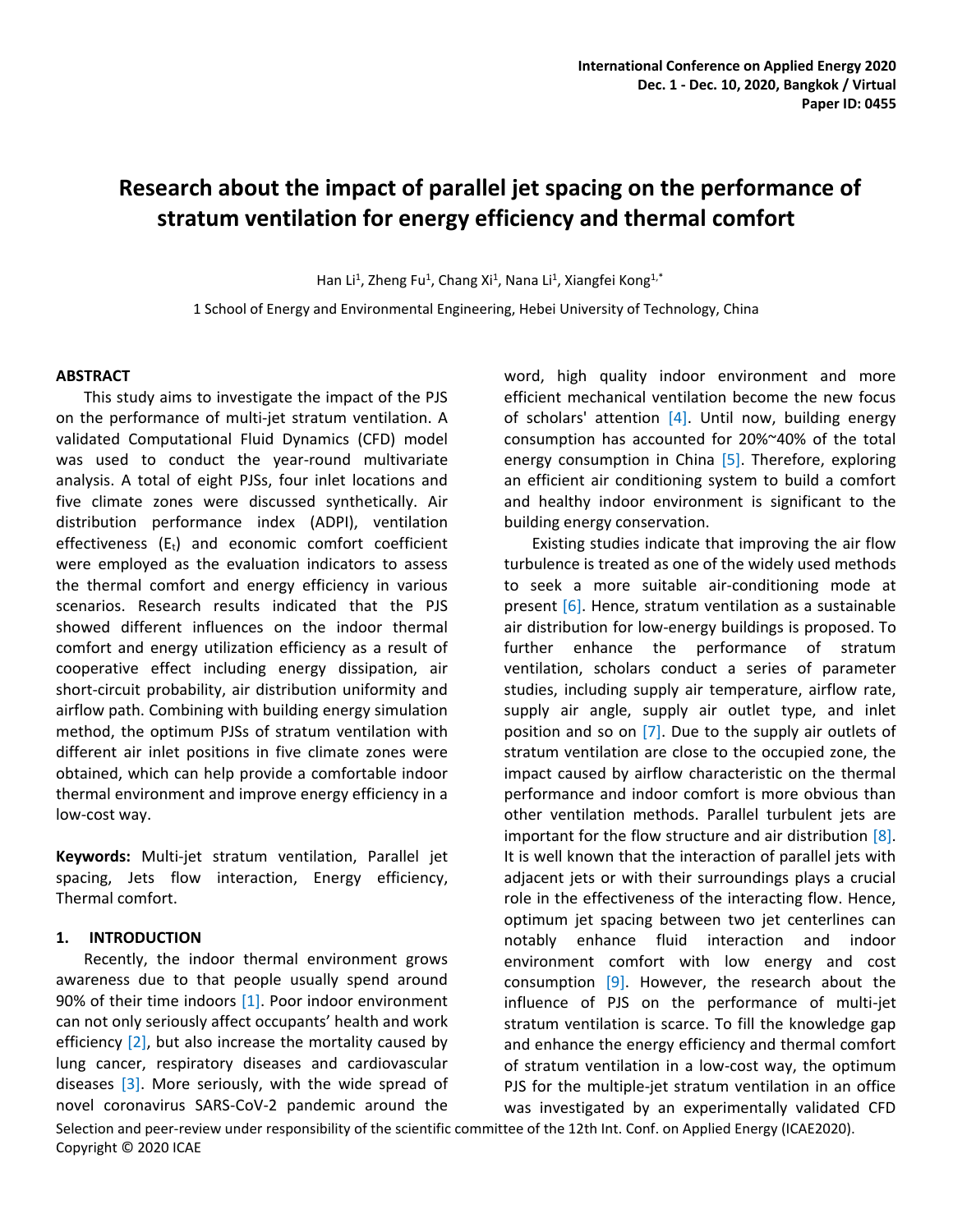# **Research about the impact of parallel jet spacing on the performance of stratum ventilation for energy efficiency and thermal comfort**

Han Li<sup>1</sup>, Zheng Fu<sup>1</sup>, Chang Xi<sup>1</sup>, Nana Li<sup>1</sup>, Xiangfei Kong<sup>1,\*</sup>

1 School of Energy and Environmental Engineering, Hebei University of Technology, China

#### **ABSTRACT**

This study aims to investigate the impact of the PJS on the performance of multi-jet stratum ventilation. A validated Computational Fluid Dynamics (CFD) model was used to conduct the year-round multivariate analysis. A total of eight PJSs, four inlet locations and five climate zones were discussed synthetically. Air distribution performance index (ADPI), ventilation effectiveness  $(E_t)$  and economic comfort coefficient were employed as the evaluation indicators to assess the thermal comfort and energy efficiency in various scenarios. Research results indicated that the PJS showed different influences on the indoor thermal comfort and energy utilization efficiency as a result of cooperative effect including energy dissipation, air short-circuit probability, air distribution uniformity and airflow path. Combining with building energy simulation method, the optimum PJSs of stratum ventilation with different air inlet positions in five climate zones were obtained, which can help provide a comfortable indoor thermal environment and improve energy efficiency in a low-cost way.

**Keywords:** Multi-jet stratum ventilation, Parallel jet spacing, Jets flow interaction, Energy efficiency, Thermal comfort.

#### **1. INTRODUCTION**

Recently, the indoor thermal environment grows awareness due to that people usually spend around 90% of their time indoors [1]. Poor indoor environment can not only seriously affect occupants' health and work efficiency [2], but also increase the mortality caused by lung cancer, respiratory diseases and cardiovascular diseases [3]. More seriously, with the wide spread of novel coronavirus SARS-CoV-2 pandemic around the word, high quality indoor environment and more efficient mechanical ventilation become the new focus of scholars' attention  $[4]$ . Until now, building energy consumption has accounted for 20%~40% of the total energy consumption in China [5]. Therefore, exploring an efficient air conditioning system to build a comfort and healthy indoor environment is significant to the building energy conservation.

Existing studies indicate that improving the air flow turbulence is treated as one of the widely used methods to seek a more suitable air-conditioning mode at present [6]. Hence, stratum ventilation as a sustainable air distribution for low-energy buildings is proposed. To further enhance the performance of stratum ventilation, scholars conduct a series of parameter studies, including supply air temperature, airflow rate, supply air angle, supply air outlet type, and inlet position and so on [7]. Due to the supply air outlets of stratum ventilation are close to the occupied zone, the impact caused by airflow characteristic on the thermal performance and indoor comfort is more obvious than other ventilation methods. Parallel turbulent jets are important for the flow structure and air distribution  $[8]$ . It is well known that the interaction of parallel jets with adjacent jets or with their surroundings plays a crucial role in the effectiveness of the interacting flow. Hence, optimum jet spacing between two jet centerlines can notably enhance fluid interaction and indoor environment comfort with low energy and cost consumption  $[9]$ . However, the research about the influence of PJS on the performance of multi-jet stratum ventilation is scarce. To fill the knowledge gap and enhance the energy efficiency and thermal comfort of stratum ventilation in a low-cost way, the optimum PJS for the multiple-jet stratum ventilation in an office was investigated by an experimentally validated CFD

Selection and peer-review under responsibility of the scientific committee of the 12th Int. Conf. on Applied Energy (ICAE2020). Copyright © 2020 ICAE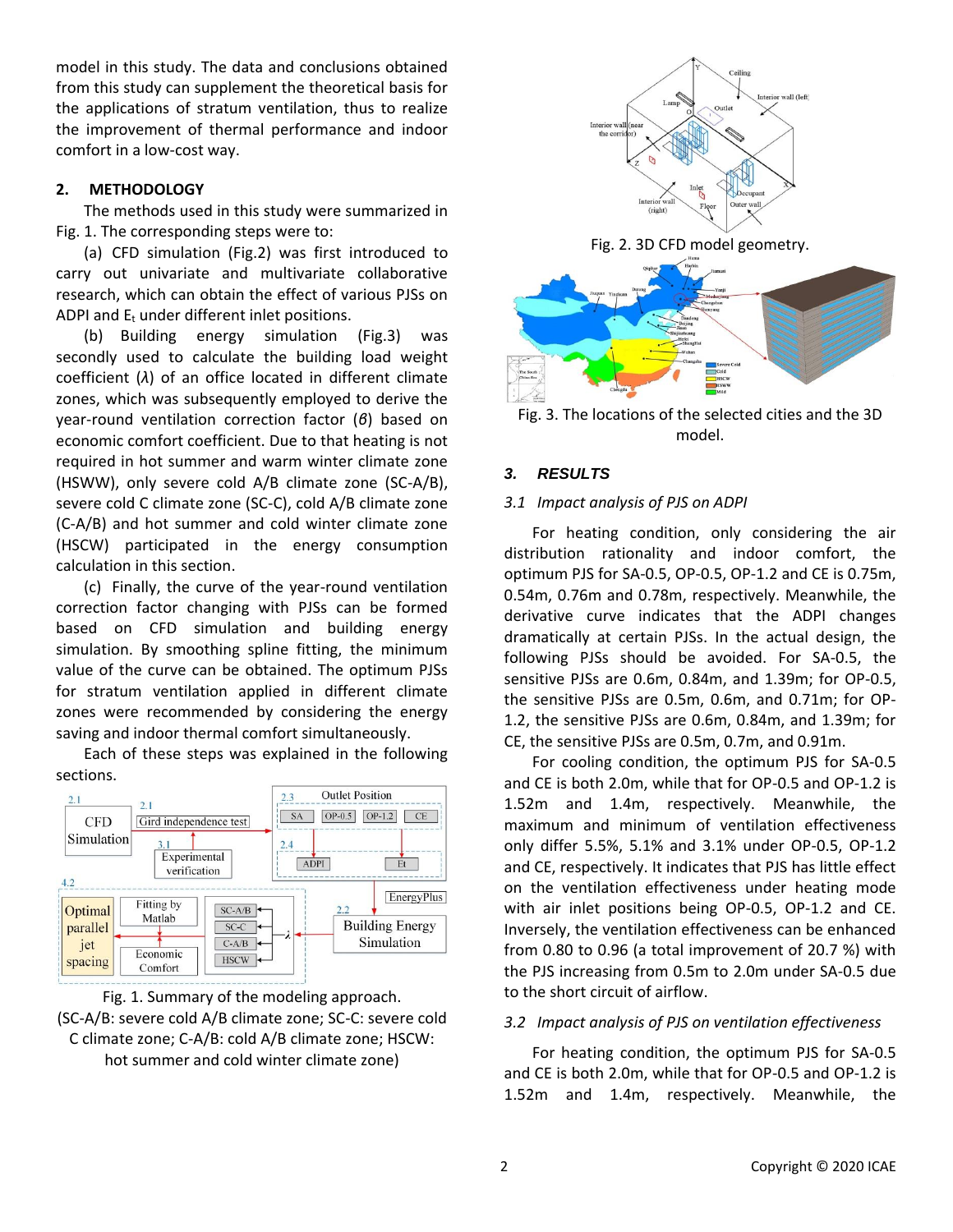model in this study. The data and conclusions obtained from this study can supplement the theoretical basis for the applications of stratum ventilation, thus to realize the improvement of thermal performance and indoor comfort in a low-cost way.

## **2. METHODOLOGY**

The methods used in this study were summarized in Fig. 1. The corresponding steps were to:

(a) CFD simulation (Fig.2) was first introduced to carry out univariate and multivariate collaborative research, which can obtain the effect of various PJSs on ADPI and  $E_t$  under different inlet positions.

(b) Building energy simulation (Fig.3) was secondly used to calculate the building load weight coefficient (*λ*) of an office located in different climate zones, which was subsequently employed to derive the year-round ventilation correction factor (*β*) based on economic comfort coefficient. Due to that heating is not required in hot summer and warm winter climate zone (HSWW), only severe cold A/B climate zone (SC-A/B), severe cold C climate zone (SC-C), cold A/B climate zone (C-A/B) and hot summer and cold winter climate zone (HSCW) participated in the energy consumption calculation in this section.

(c) Finally, the curve of the year-round ventilation correction factor changing with PJSs can be formed based on CFD simulation and building energy simulation. By smoothing spline fitting, the minimum value of the curve can be obtained. The optimum PJSs for stratum ventilation applied in different climate zones were recommended by considering the energy saving and indoor thermal comfort simultaneously.

Each of these steps was explained in the following sections.



Fig. 1. Summary of the modeling approach. (SC-A/B: severe cold A/B climate zone; SC-C: severe cold C climate zone; C-A/B: cold A/B climate zone; HSCW: hot summer and cold winter climate zone)



Fig. 3. The locations of the selected cities and the 3D model.

# *3. RESULTS*

## *3.1 Impact analysis of PJS on ADPI*

For heating condition, only considering the air distribution rationality and indoor comfort, the optimum PJS for SA-0.5, OP-0.5, OP-1.2 and CE is 0.75m, 0.54m, 0.76m and 0.78m, respectively. Meanwhile, the derivative curve indicates that the ADPI changes dramatically at certain PJSs. In the actual design, the following PJSs should be avoided. For SA-0.5, the sensitive PJSs are 0.6m, 0.84m, and 1.39m; for OP-0.5, the sensitive PJSs are 0.5m, 0.6m, and 0.71m; for OP-1.2, the sensitive PJSs are 0.6m, 0.84m, and 1.39m; for CE, the sensitive PJSs are 0.5m, 0.7m, and 0.91m.

For cooling condition, the optimum PJS for SA-0.5 and CE is both 2.0m, while that for OP-0.5 and OP-1.2 is 1.52m and 1.4m, respectively. Meanwhile, the maximum and minimum of ventilation effectiveness only differ 5.5%, 5.1% and 3.1% under OP-0.5, OP-1.2 and CE, respectively. It indicates that PJS has little effect on the ventilation effectiveness under heating mode with air inlet positions being OP-0.5, OP-1.2 and CE. Inversely, the ventilation effectiveness can be enhanced from 0.80 to 0.96 (a total improvement of 20.7 %) with the PJS increasing from 0.5m to 2.0m under SA-0.5 due to the short circuit of airflow.

## *3.2 Impact analysis of PJS on ventilation effectiveness*

For heating condition, the optimum PJS for SA-0.5 and CE is both 2.0m, while that for OP-0.5 and OP-1.2 is 1.52m and 1.4m, respectively. Meanwhile, the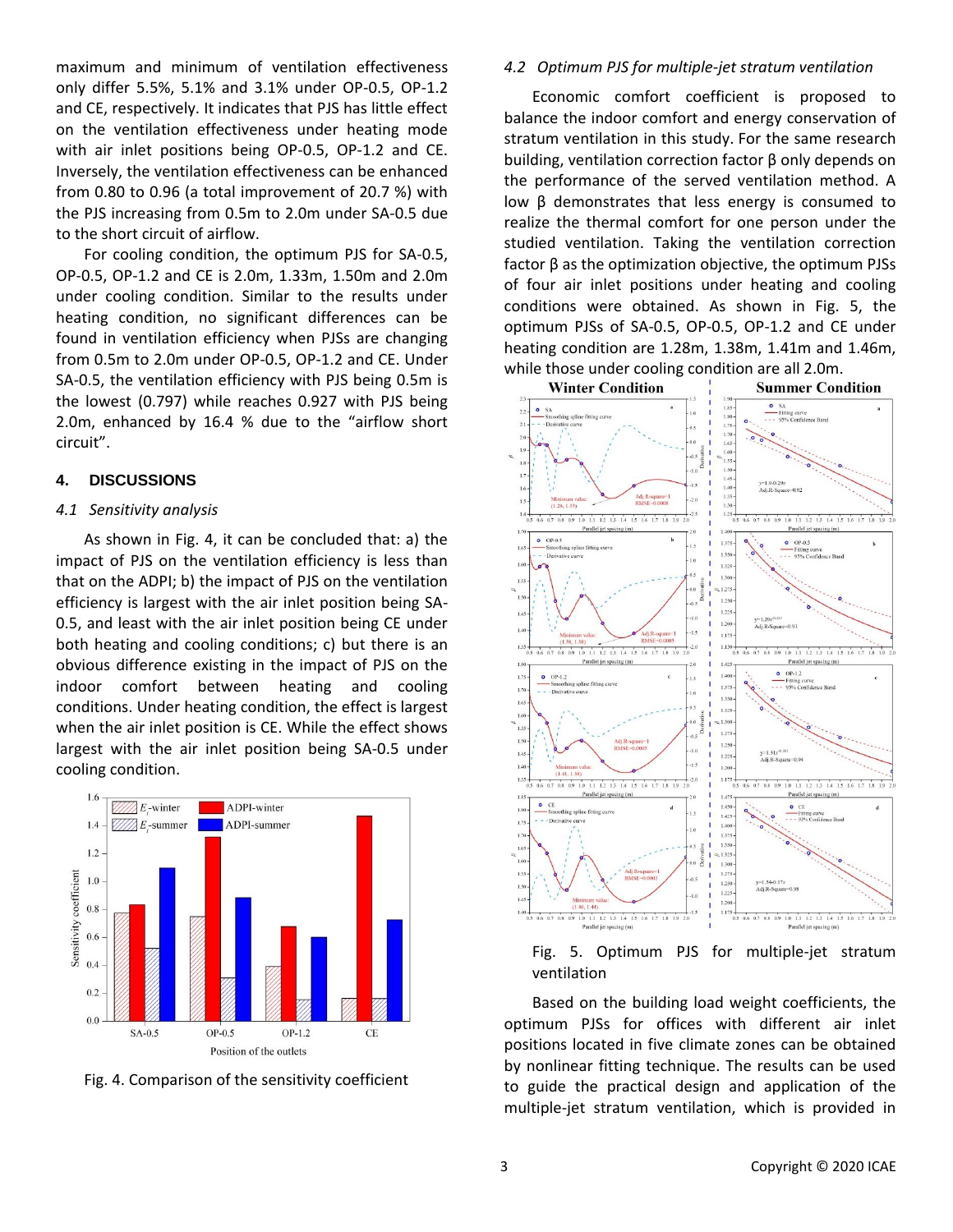maximum and minimum of ventilation effectiveness only differ 5.5%, 5.1% and 3.1% under OP-0.5, OP-1.2 and CE, respectively. It indicates that PJS has little effect on the ventilation effectiveness under heating mode with air inlet positions being OP-0.5, OP-1.2 and CE. Inversely, the ventilation effectiveness can be enhanced from 0.80 to 0.96 (a total improvement of 20.7 %) with the PJS increasing from 0.5m to 2.0m under SA-0.5 due to the short circuit of airflow.

For cooling condition, the optimum PJS for SA-0.5, OP-0.5, OP-1.2 and CE is 2.0m, 1.33m, 1.50m and 2.0m under cooling condition. Similar to the results under heating condition, no significant differences can be found in ventilation efficiency when PJSs are changing from 0.5m to 2.0m under OP-0.5, OP-1.2 and CE. Under SA-0.5, the ventilation efficiency with PJS being 0.5m is the lowest (0.797) while reaches 0.927 with PJS being 2.0m, enhanced by 16.4 % due to the "airflow short circuit".

#### **4. DISCUSSIONS**

#### *4.1 Sensitivity analysis*

As shown in Fig. 4, it can be concluded that: a) the impact of PJS on the ventilation efficiency is less than that on the ADPI; b) the impact of PJS on the ventilation efficiency is largest with the air inlet position being SA-0.5, and least with the air inlet position being CE under both heating and cooling conditions; c) but there is an obvious difference existing in the impact of PJS on the indoor comfort between heating and cooling conditions. Under heating condition, the effect is largest when the air inlet position is CE. While the effect shows largest with the air inlet position being SA-0.5 under cooling condition.



Fig. 4. Comparison of the sensitivity coefficient

#### *4.2 Optimum PJS for multiple-jet stratum ventilation*

Economic comfort coefficient is proposed to balance the indoor comfort and energy conservation of stratum ventilation in this study. For the same research building, ventilation correction factor β only depends on the performance of the served ventilation method. A low β demonstrates that less energy is consumed to realize the thermal comfort for one person under the studied ventilation. Taking the ventilation correction factor β as the optimization objective, the optimum PJSs of four air inlet positions under heating and cooling conditions were obtained. As shown in Fig. 5, the optimum PJSs of SA-0.5, OP-0.5, OP-1.2 and CE under heating condition are 1.28m, 1.38m, 1.41m and 1.46m, while those under cooling condition are all 2.0m.



Fig. 5. Optimum PJS for multiple-jet stratum ventilation

Based on the building load weight coefficients, the optimum PJSs for offices with different air inlet positions located in five climate zones can be obtained by nonlinear fitting technique. The results can be used to guide the practical design and application of the multiple-jet stratum ventilation, which is provided in